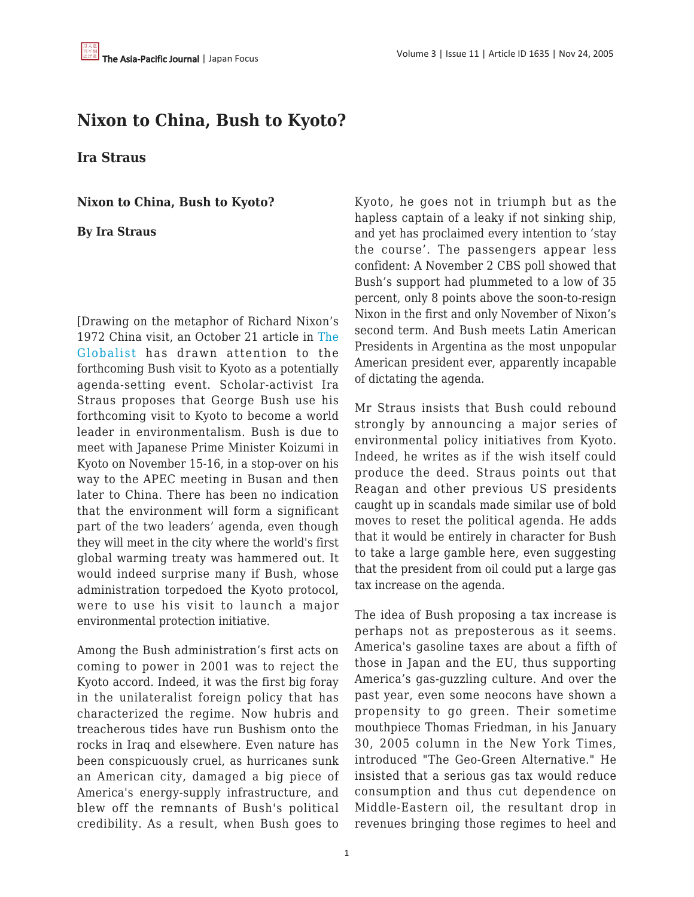# **Nixon to China, Bush to Kyoto?**

**Ira Straus**

**Nixon to China, Bush to Kyoto?**

**By Ira Straus**

[Drawing on the metaphor of Richard Nixon's 1972 China visit, an October 21 article in [The](http://www.theglobalist.com/) [Globalist](http://www.theglobalist.com/) has drawn attention to the forthcoming Bush visit to Kyoto as a potentially agenda-setting event. Scholar-activist Ira Straus proposes that George Bush use his forthcoming visit to Kyoto to become a world leader in environmentalism. Bush is due to meet with Japanese Prime Minister Koizumi in Kyoto on November 15-16, in a stop-over on his way to the APEC meeting in Busan and then later to China. There has been no indication that the environment will form a significant part of the two leaders' agenda, even though they will meet in the city where the world's first global warming treaty was hammered out. It would indeed surprise many if Bush, whose administration torpedoed the Kyoto protocol, were to use his visit to launch a major environmental protection initiative.

Among the Bush administration's first acts on coming to power in 2001 was to reject the Kyoto accord. Indeed, it was the first big foray in the unilateralist foreign policy that has characterized the regime. Now hubris and treacherous tides have run Bushism onto the rocks in Iraq and elsewhere. Even nature has been conspicuously cruel, as hurricanes sunk an American city, damaged a big piece of America's energy-supply infrastructure, and blew off the remnants of Bush's political credibility. As a result, when Bush goes to Kyoto, he goes not in triumph but as the hapless captain of a leaky if not sinking ship, and yet has proclaimed every intention to 'stay the course'. The passengers appear less confident: A November 2 CBS poll showed that Bush's support had plummeted to a low of 35 percent, only 8 points above the soon-to-resign Nixon in the first and only November of Nixon's second term. And Bush meets Latin American Presidents in Argentina as the most unpopular American president ever, apparently incapable of dictating the agenda.

Mr Straus insists that Bush could rebound strongly by announcing a major series of environmental policy initiatives from Kyoto. Indeed, he writes as if the wish itself could produce the deed. Straus points out that Reagan and other previous US presidents caught up in scandals made similar use of bold moves to reset the political agenda. He adds that it would be entirely in character for Bush to take a large gamble here, even suggesting that the president from oil could put a large gas tax increase on the agenda.

The idea of Bush proposing a tax increase is perhaps not as preposterous as it seems. America's gasoline taxes are about a fifth of those in Japan and the EU, thus supporting America's gas-guzzling culture. And over the past year, even some neocons have shown a propensity to go green. Their sometime mouthpiece Thomas Friedman, in his January 30, 2005 column in the New York Times, introduced "The Geo-Green Alternative." He insisted that a serious gas tax would reduce consumption and thus cut dependence on Middle-Eastern oil, the resultant drop in revenues bringing those regimes to heel and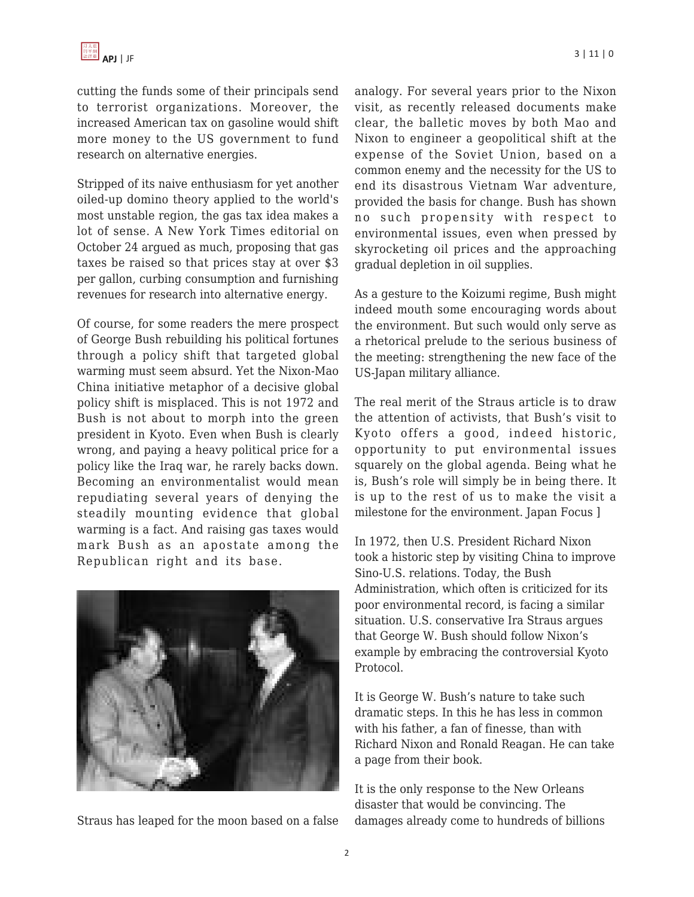cutting the funds some of their principals send to terrorist organizations. Moreover, the increased American tax on gasoline would shift more money to the US government to fund research on alternative energies.

Stripped of its naive enthusiasm for yet another oiled-up domino theory applied to the world's most unstable region, the gas tax idea makes a lot of sense. A New York Times editorial on October 24 argued as much, proposing that gas taxes be raised so that prices stay at over \$3 per gallon, curbing consumption and furnishing revenues for research into alternative energy.

Of course, for some readers the mere prospect of George Bush rebuilding his political fortunes through a policy shift that targeted global warming must seem absurd. Yet the Nixon-Mao China initiative metaphor of a decisive global policy shift is misplaced. This is not 1972 and Bush is not about to morph into the green president in Kyoto. Even when Bush is clearly wrong, and paying a heavy political price for a policy like the Iraq war, he rarely backs down. Becoming an environmentalist would mean repudiating several years of denying the steadily mounting evidence that global warming is a fact. And raising gas taxes would mark Bush as an apostate among the Republican right and its base.



Straus has leaped for the moon based on a false

analogy. For several years prior to the Nixon visit, as recently released documents make clear, the balletic moves by both Mao and Nixon to engineer a geopolitical shift at the expense of the Soviet Union, based on a common enemy and the necessity for the US to end its disastrous Vietnam War adventure, provided the basis for change. Bush has shown no such propensity with respect to environmental issues, even when pressed by skyrocketing oil prices and the approaching gradual depletion in oil supplies.

As a gesture to the Koizumi regime, Bush might indeed mouth some encouraging words about the environment. But such would only serve as a rhetorical prelude to the serious business of the meeting: strengthening the new face of the US-Japan military alliance.

The real merit of the Straus article is to draw the attention of activists, that Bush's visit to Kyoto offers a good, indeed historic, opportunity to put environmental issues squarely on the global agenda. Being what he is, Bush's role will simply be in being there. It is up to the rest of us to make the visit a milestone for the environment. Japan Focus ]

In 1972, then U.S. President Richard Nixon took a historic step by visiting China to improve Sino-U.S. relations. Today, the Bush Administration, which often is criticized for its poor environmental record, is facing a similar situation. U.S. conservative Ira Straus argues that George W. Bush should follow Nixon's example by embracing the controversial Kyoto Protocol.

It is George W. Bush's nature to take such dramatic steps. In this he has less in common with his father, a fan of finesse, than with Richard Nixon and Ronald Reagan. He can take a page from their book.

It is the only response to the New Orleans disaster that would be convincing. The damages already come to hundreds of billions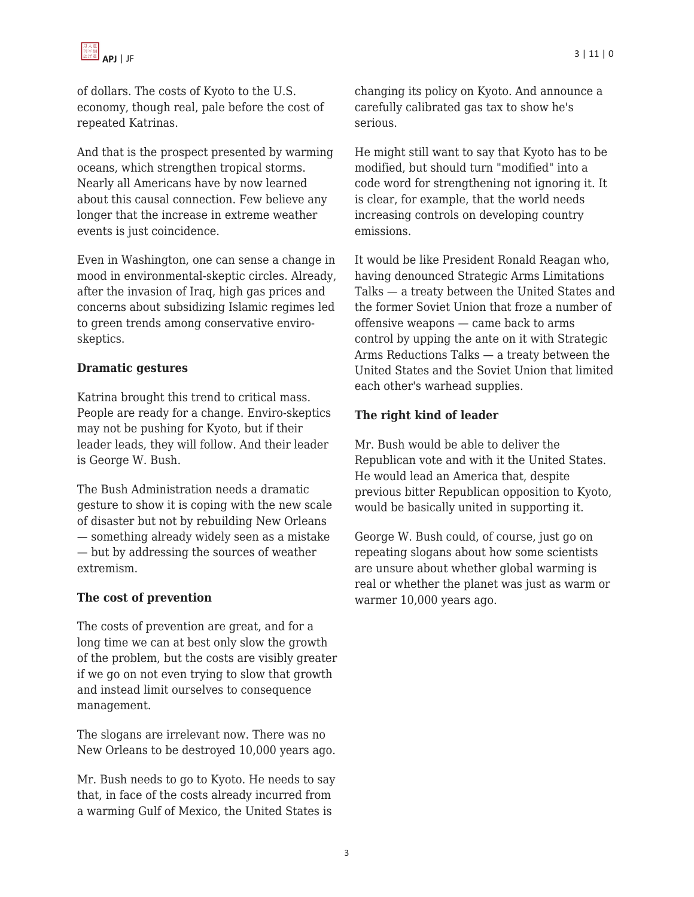

of dollars. The costs of Kyoto to the U.S. economy, though real, pale before the cost of repeated Katrinas.

And that is the prospect presented by warming oceans, which strengthen tropical storms. Nearly all Americans have by now learned about this causal connection. Few believe any longer that the increase in extreme weather events is just coincidence.

Even in Washington, one can sense a change in mood in environmental-skeptic circles. Already, after the invasion of Iraq, high gas prices and concerns about subsidizing Islamic regimes led to green trends among conservative enviroskeptics.

## **Dramatic gestures**

Katrina brought this trend to critical mass. People are ready for a change. Enviro-skeptics may not be pushing for Kyoto, but if their leader leads, they will follow. And their leader is George W. Bush.

The Bush Administration needs a dramatic gesture to show it is coping with the new scale of disaster but not by rebuilding New Orleans — something already widely seen as a mistake — but by addressing the sources of weather extremism.

## **The cost of prevention**

The costs of prevention are great, and for a long time we can at best only slow the growth of the problem, but the costs are visibly greater if we go on not even trying to slow that growth and instead limit ourselves to consequence management.

The slogans are irrelevant now. There was no New Orleans to be destroyed 10,000 years ago.

Mr. Bush needs to go to Kyoto. He needs to say that, in face of the costs already incurred from a warming Gulf of Mexico, the United States is

changing its policy on Kyoto. And announce a carefully calibrated gas tax to show he's serious.

He might still want to say that Kyoto has to be modified, but should turn "modified" into a code word for strengthening not ignoring it. It is clear, for example, that the world needs increasing controls on developing country emissions.

It would be like President Ronald Reagan who, having denounced Strategic Arms Limitations Talks — a treaty between the United States and the former Soviet Union that froze a number of offensive weapons — came back to arms control by upping the ante on it with Strategic Arms Reductions Talks — a treaty between the United States and the Soviet Union that limited each other's warhead supplies.

### **The right kind of leader**

Mr. Bush would be able to deliver the Republican vote and with it the United States. He would lead an America that, despite previous bitter Republican opposition to Kyoto, would be basically united in supporting it.

George W. Bush could, of course, just go on repeating slogans about how some scientists are unsure about whether global warming is real or whether the planet was just as warm or warmer 10,000 years ago.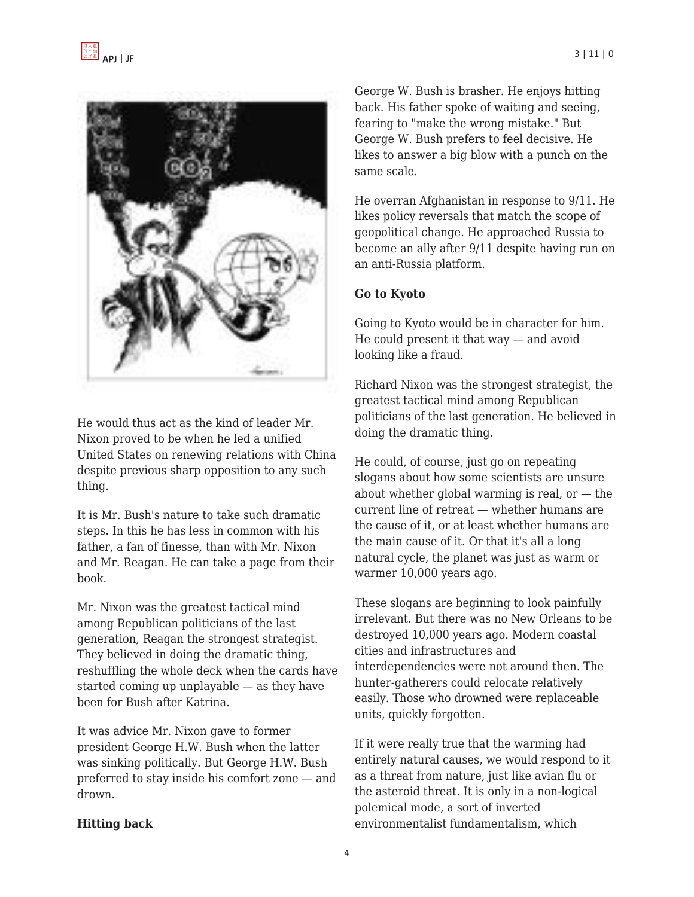

He would thus act as the kind of leader Mr. Nixon proved to be when he led a unified United States on renewing relations with China despite previous sharp opposition to any such thing.

It is Mr. Bush's nature to take such dramatic steps. In this he has less in common with his father, a fan of finesse, than with Mr. Nixon and Mr. Reagan. He can take a page from their book.

Mr. Nixon was the greatest tactical mind among Republican politicians of the last generation, Reagan the strongest strategist. They believed in doing the dramatic thing, reshuffling the whole deck when the cards have started coming up unplayable — as they have been for Bush after Katrina.

It was advice Mr. Nixon gave to former president George H.W. Bush when the latter was sinking politically. But George H.W. Bush preferred to stay inside his comfort zone — and drown.

# **Hitting back**

George W. Bush is brasher. He enjoys hitting back. His father spoke of waiting and seeing, fearing to "make the wrong mistake." But George W. Bush prefers to feel decisive. He likes to answer a big blow with a punch on the same scale.

He overran Afghanistan in response to 9/11. He likes policy reversals that match the scope of geopolitical change. He approached Russia to become an ally after 9/11 despite having run on an anti-Russia platform.

## **Go to Kyoto**

Going to Kyoto would be in character for him. He could present it that way — and avoid looking like a fraud.

Richard Nixon was the strongest strategist, the greatest tactical mind among Republican politicians of the last generation. He believed in doing the dramatic thing.

He could, of course, just go on repeating slogans about how some scientists are unsure about whether global warming is real, or  $-$  the current line of retreat — whether humans are the cause of it, or at least whether humans are the main cause of it. Or that it's all a long natural cycle, the planet was just as warm or warmer 10,000 years ago.

These slogans are beginning to look painfully irrelevant. But there was no New Orleans to be destroyed 10,000 years ago. Modern coastal cities and infrastructures and interdependencies were not around then. The hunter-gatherers could relocate relatively easily. Those who drowned were replaceable units, quickly forgotten.

If it were really true that the warming had entirely natural causes, we would respond to it as a threat from nature, just like avian flu or the asteroid threat. It is only in a non-logical polemical mode, a sort of inverted environmentalist fundamentalism, which